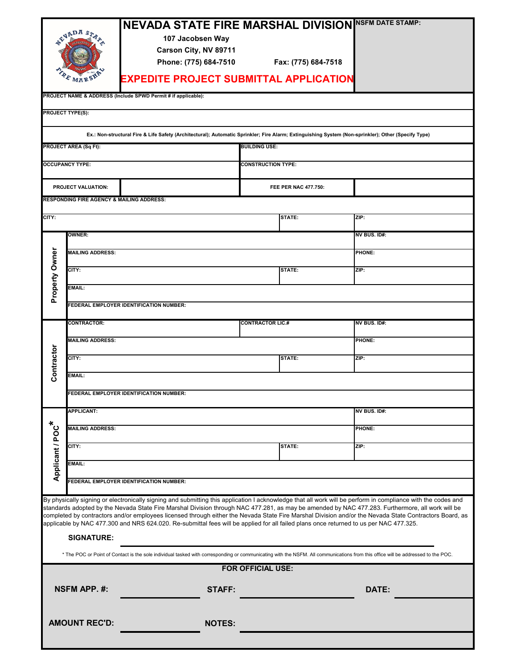|                                                                                                                                                                                                                                                                                                                                                                                                                                                                                                                                                                                                                                                                                                                                                                                                                               | GARDA S<br>MARS<br><b>PROJECT TYPE(S):</b><br><b>PROJECT AREA (Sq Ft):</b><br><b>OCCUPANCY TYPE:</b> | <b>NEVADA STATE FIRE MARSHAL DIVISION</b><br>107 Jacobsen Way<br>Carson City, NV 89711<br>Phone: (775) 684-7510<br><b>EXPEDITE PROJECT SUBMITTAL APPLICATION</b><br>PROJECT NAME & ADDRESS (Include SPWD Permit # if applicable):<br>Ex.: Non-structural Fire & Life Safety (Architectural); Automatic Sprinkler; Fire Alarm; Extinguishing System (Non-sprinkler); Other (Specify Type) | Fax: (775) 684-7518<br><b>BUILDING USE:</b><br><b>CONSTRUCTION TYPE:</b><br>FEE PER NAC 477.750: | <b>NSFM DATE STAMP:</b> |  |  |  |  |  |  |  |
|-------------------------------------------------------------------------------------------------------------------------------------------------------------------------------------------------------------------------------------------------------------------------------------------------------------------------------------------------------------------------------------------------------------------------------------------------------------------------------------------------------------------------------------------------------------------------------------------------------------------------------------------------------------------------------------------------------------------------------------------------------------------------------------------------------------------------------|------------------------------------------------------------------------------------------------------|------------------------------------------------------------------------------------------------------------------------------------------------------------------------------------------------------------------------------------------------------------------------------------------------------------------------------------------------------------------------------------------|--------------------------------------------------------------------------------------------------|-------------------------|--|--|--|--|--|--|--|
| PROJECT VALUATION:<br><b>RESPONDING FIRE AGENCY &amp; MAILING ADDRESS:</b>                                                                                                                                                                                                                                                                                                                                                                                                                                                                                                                                                                                                                                                                                                                                                    |                                                                                                      |                                                                                                                                                                                                                                                                                                                                                                                          |                                                                                                  |                         |  |  |  |  |  |  |  |
| CITY:                                                                                                                                                                                                                                                                                                                                                                                                                                                                                                                                                                                                                                                                                                                                                                                                                         |                                                                                                      |                                                                                                                                                                                                                                                                                                                                                                                          | STATE:                                                                                           | ZIP:                    |  |  |  |  |  |  |  |
|                                                                                                                                                                                                                                                                                                                                                                                                                                                                                                                                                                                                                                                                                                                                                                                                                               | <b>OWNER:</b>                                                                                        |                                                                                                                                                                                                                                                                                                                                                                                          |                                                                                                  | NV BUS. ID#:            |  |  |  |  |  |  |  |
| Property Owner                                                                                                                                                                                                                                                                                                                                                                                                                                                                                                                                                                                                                                                                                                                                                                                                                | <b>MAILING ADDRESS:</b>                                                                              |                                                                                                                                                                                                                                                                                                                                                                                          |                                                                                                  | <b>PHONE:</b>           |  |  |  |  |  |  |  |
|                                                                                                                                                                                                                                                                                                                                                                                                                                                                                                                                                                                                                                                                                                                                                                                                                               | CITY:                                                                                                |                                                                                                                                                                                                                                                                                                                                                                                          | STATE:                                                                                           | ZIP:                    |  |  |  |  |  |  |  |
|                                                                                                                                                                                                                                                                                                                                                                                                                                                                                                                                                                                                                                                                                                                                                                                                                               | EMAIL:                                                                                               |                                                                                                                                                                                                                                                                                                                                                                                          |                                                                                                  |                         |  |  |  |  |  |  |  |
|                                                                                                                                                                                                                                                                                                                                                                                                                                                                                                                                                                                                                                                                                                                                                                                                                               | FEDERAL EMPLOYER IDENTIFICATION NUMBER:                                                              |                                                                                                                                                                                                                                                                                                                                                                                          |                                                                                                  |                         |  |  |  |  |  |  |  |
|                                                                                                                                                                                                                                                                                                                                                                                                                                                                                                                                                                                                                                                                                                                                                                                                                               | <b>CONTRACTOR:</b>                                                                                   |                                                                                                                                                                                                                                                                                                                                                                                          | <b>CONTRACTOR LIC.#</b>                                                                          | NV BUS. ID#:            |  |  |  |  |  |  |  |
|                                                                                                                                                                                                                                                                                                                                                                                                                                                                                                                                                                                                                                                                                                                                                                                                                               | <b>MAILING ADDRESS:</b>                                                                              |                                                                                                                                                                                                                                                                                                                                                                                          |                                                                                                  | <b>PHONE:</b>           |  |  |  |  |  |  |  |
| Contractor                                                                                                                                                                                                                                                                                                                                                                                                                                                                                                                                                                                                                                                                                                                                                                                                                    | CITY:                                                                                                |                                                                                                                                                                                                                                                                                                                                                                                          | STATE:                                                                                           | ZIP:                    |  |  |  |  |  |  |  |
|                                                                                                                                                                                                                                                                                                                                                                                                                                                                                                                                                                                                                                                                                                                                                                                                                               | EMAIL:                                                                                               |                                                                                                                                                                                                                                                                                                                                                                                          |                                                                                                  |                         |  |  |  |  |  |  |  |
|                                                                                                                                                                                                                                                                                                                                                                                                                                                                                                                                                                                                                                                                                                                                                                                                                               |                                                                                                      | FEDERAL EMPLOYER IDENTIFICATION NUMBER:                                                                                                                                                                                                                                                                                                                                                  |                                                                                                  |                         |  |  |  |  |  |  |  |
|                                                                                                                                                                                                                                                                                                                                                                                                                                                                                                                                                                                                                                                                                                                                                                                                                               | <b>APPLICANT:</b>                                                                                    |                                                                                                                                                                                                                                                                                                                                                                                          |                                                                                                  | NV BUS. ID#:            |  |  |  |  |  |  |  |
|                                                                                                                                                                                                                                                                                                                                                                                                                                                                                                                                                                                                                                                                                                                                                                                                                               | <b>MAILING ADDRESS:</b>                                                                              |                                                                                                                                                                                                                                                                                                                                                                                          |                                                                                                  | <b>PHONE:</b>           |  |  |  |  |  |  |  |
|                                                                                                                                                                                                                                                                                                                                                                                                                                                                                                                                                                                                                                                                                                                                                                                                                               | CITY:                                                                                                |                                                                                                                                                                                                                                                                                                                                                                                          | STATE:                                                                                           | ZIP:                    |  |  |  |  |  |  |  |
| Applicant / POC*                                                                                                                                                                                                                                                                                                                                                                                                                                                                                                                                                                                                                                                                                                                                                                                                              | EMAIL:                                                                                               |                                                                                                                                                                                                                                                                                                                                                                                          |                                                                                                  |                         |  |  |  |  |  |  |  |
|                                                                                                                                                                                                                                                                                                                                                                                                                                                                                                                                                                                                                                                                                                                                                                                                                               | FEDERAL EMPLOYER IDENTIFICATION NUMBER:                                                              |                                                                                                                                                                                                                                                                                                                                                                                          |                                                                                                  |                         |  |  |  |  |  |  |  |
| By physically signing or electronically signing and submitting this application I acknowledge that all work will be perform in compliance with the codes and<br>standards adopted by the Nevada State Fire Marshal Division through NAC 477.281, as may be amended by NAC 477.283. Furthermore, all work will be<br>completed by contractors and/or employees licensed through either the Nevada State Fire Marshal Division and/or the Nevada State Contractors Board, as<br>applicable by NAC 477.300 and NRS 624.020. Re-submittal fees will be applied for all failed plans once returned to us per NAC 477.325.<br><b>SIGNATURE:</b><br>* The POC or Point of Contact is the sole individual tasked with corresponding or communicating with the NSFM. All communications from this office will be addressed to the POC. |                                                                                                      |                                                                                                                                                                                                                                                                                                                                                                                          |                                                                                                  |                         |  |  |  |  |  |  |  |
| <b>FOR OFFICIAL USE:</b>                                                                                                                                                                                                                                                                                                                                                                                                                                                                                                                                                                                                                                                                                                                                                                                                      |                                                                                                      |                                                                                                                                                                                                                                                                                                                                                                                          |                                                                                                  |                         |  |  |  |  |  |  |  |
| <b>NSFM APP. #:</b>                                                                                                                                                                                                                                                                                                                                                                                                                                                                                                                                                                                                                                                                                                                                                                                                           |                                                                                                      | STAFF:                                                                                                                                                                                                                                                                                                                                                                                   |                                                                                                  | DATE:                   |  |  |  |  |  |  |  |
| <b>AMOUNT REC'D:</b>                                                                                                                                                                                                                                                                                                                                                                                                                                                                                                                                                                                                                                                                                                                                                                                                          |                                                                                                      | <b>NOTES:</b>                                                                                                                                                                                                                                                                                                                                                                            |                                                                                                  |                         |  |  |  |  |  |  |  |